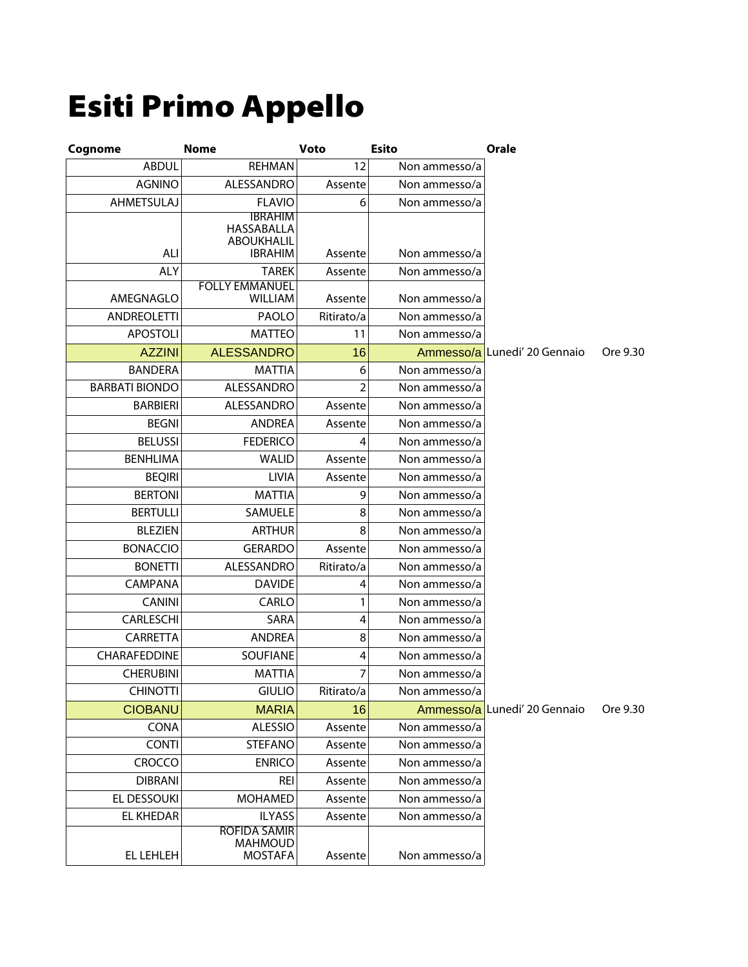## Esiti Primo Appello

| Cognome               | <b>Nome</b>                                      | Voto       | <b>Esito</b>  | Orale                        |          |
|-----------------------|--------------------------------------------------|------------|---------------|------------------------------|----------|
| <b>ABDUL</b>          | <b>REHMAN</b>                                    | 12         | Non ammesso/a |                              |          |
| <b>AGNINO</b>         | ALESSANDRO                                       | Assente    | Non ammesso/a |                              |          |
| <b>AHMETSULAJ</b>     | <b>FLAVIO</b>                                    | 6          | Non ammesso/a |                              |          |
|                       | <b>IBRAHIM</b>                                   |            |               |                              |          |
|                       | HASSABALLA<br><b>ABOUKHALIL</b>                  |            |               |                              |          |
| <b>ALI</b>            | <b>IBRAHIM</b>                                   | Assente    | Non ammesso/a |                              |          |
| <b>ALY</b>            | <b>TAREK</b>                                     | Assente    | Non ammesso/a |                              |          |
|                       | <b>FOLLY EMMANUEL</b><br><b>WILLIAM</b>          |            |               |                              |          |
| AMEGNAGLO             | PAOLO                                            | Assente    | Non ammesso/a |                              |          |
| <b>ANDREOLETTI</b>    |                                                  | Ritirato/a | Non ammesso/a |                              |          |
| <b>APOSTOLI</b>       | <b>MATTEO</b>                                    | 11         | Non ammesso/a |                              |          |
| <b>AZZINI</b>         | <b>ALESSANDRO</b>                                | 16         |               | Ammesso/a Lunedi' 20 Gennaio | Ore 9.30 |
| <b>BANDERA</b>        | <b>MATTIA</b>                                    | 6          | Non ammesso/a |                              |          |
| <b>BARBATI BIONDO</b> | ALESSANDRO                                       | 2          | Non ammesso/a |                              |          |
| <b>BARBIERI</b>       | ALESSANDRO                                       | Assente    | Non ammesso/a |                              |          |
| <b>BEGNI</b>          | <b>ANDREA</b>                                    | Assente    | Non ammesso/a |                              |          |
| <b>BELUSSI</b>        | <b>FEDERICO</b>                                  | 4          | Non ammesso/a |                              |          |
| <b>BENHLIMA</b>       | <b>WALID</b>                                     | Assente    | Non ammesso/a |                              |          |
| <b>BEQIRI</b>         | LIVIA                                            | Assente    | Non ammesso/a |                              |          |
| <b>BERTONI</b>        | <b>MATTIA</b>                                    | 9          | Non ammesso/a |                              |          |
| <b>BERTULLI</b>       | SAMUELE                                          | 8          | Non ammesso/a |                              |          |
| <b>BLEZIEN</b>        | <b>ARTHUR</b>                                    | 8          | Non ammesso/a |                              |          |
| <b>BONACCIO</b>       | <b>GERARDO</b>                                   | Assente    | Non ammesso/a |                              |          |
| <b>BONETTI</b>        | ALESSANDRO                                       | Ritirato/a | Non ammesso/a |                              |          |
| <b>CAMPANA</b>        | <b>DAVIDE</b>                                    | 4          | Non ammesso/a |                              |          |
| <b>CANINI</b>         | CARLO                                            | 1          | Non ammesso/a |                              |          |
| CARLESCHI             | SARA                                             | 4          | Non ammesso/a |                              |          |
| CARRETTA              | <b>ANDREA</b>                                    | 8          | Non ammesso/a |                              |          |
| CHARAFEDDINE          | SOUFIANE                                         | 4          | Non ammesso/a |                              |          |
| <b>CHERUBINI</b>      | <b>MATTIA</b>                                    | 7          | Non ammesso/a |                              |          |
| <b>CHINOTTI</b>       | <b>GIULIO</b>                                    | Ritirato/a | Non ammesso/a |                              |          |
| <b>CIOBANU</b>        | <b>MARIA</b>                                     | 16         |               | Ammesso/a Lunedi' 20 Gennaio | Ore 9.30 |
| <b>CONA</b>           | <b>ALESSIO</b>                                   | Assente    | Non ammesso/a |                              |          |
| <b>CONTI</b>          | <b>STEFANO</b>                                   | Assente    | Non ammesso/a |                              |          |
| <b>CROCCO</b>         | <b>ENRICO</b>                                    | Assente    | Non ammesso/a |                              |          |
| <b>DIBRANI</b>        | <b>REI</b>                                       | Assente    | Non ammesso/a |                              |          |
| EL DESSOUKI           | <b>MOHAMED</b>                                   | Assente    | Non ammesso/a |                              |          |
| <b>EL KHEDAR</b>      | <b>ILYASS</b>                                    | Assente    | Non ammesso/a |                              |          |
| EL LEHLEH             | <b>ROFIDA SAMIR</b><br>MAHMOUD<br><b>MOSTAFA</b> | Assente    | Non ammesso/a |                              |          |